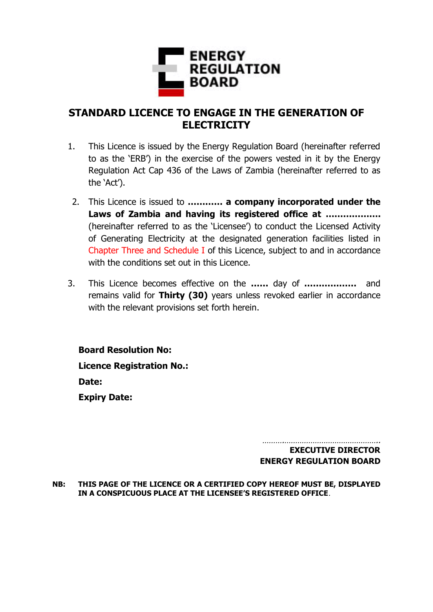

#### **STANDARD LICENCE TO ENGAGE IN THE GENERATION OF ELECTRICITY**

- 1. This Licence is issued by the Energy Regulation Board (hereinafter referred to as the 'ERB') in the exercise of the powers vested in it by the Energy Regulation Act Cap 436 of the Laws of Zambia (hereinafter referred to as the 'Act').
- 2. This Licence is issued to **………… a company incorporated under the Laws of Zambia and having its registered office at ……………….** (hereinafter referred to as the 'Licensee') to conduct the Licensed Activity of Generating Electricity at the designated generation facilities listed in Chapter Three and Schedule I of this Licence, subject to and in accordance with the conditions set out in this Licence.
- 3. This Licence becomes effective on the **……** day of **………………** and remains valid for **Thirty (30)** years unless revoked earlier in accordance with the relevant provisions set forth herein.

**Board Resolution No: Licence Registration No.: Date: Expiry Date:**

> ………………………………………………………… **EXECUTIVE DIRECTOR ENERGY REGULATION BOARD**

**NB: THIS PAGE OF THE LICENCE OR A CERTIFIED COPY HEREOF MUST BE, DISPLAYED IN A CONSPICUOUS PLACE AT THE LICENSEE'S REGISTERED OFFICE**.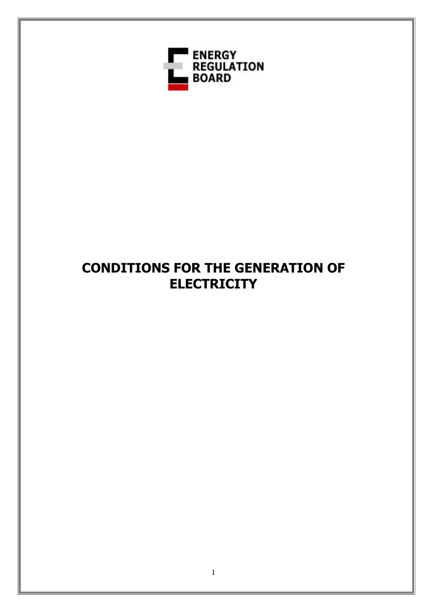

# **CONDITIONS FOR THE GENERATION OF ELECTRICITY**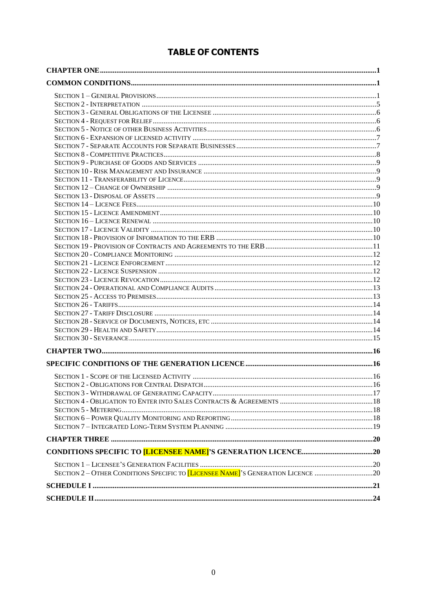#### **TABLE OF CONTENTS**

| SECTION 2 - OTHER CONDITIONS SPECIFIC TO <i>[LICENSEE NAME]</i> 'S GENERATION LICENCE 20 |  |
|------------------------------------------------------------------------------------------|--|
|                                                                                          |  |
|                                                                                          |  |
|                                                                                          |  |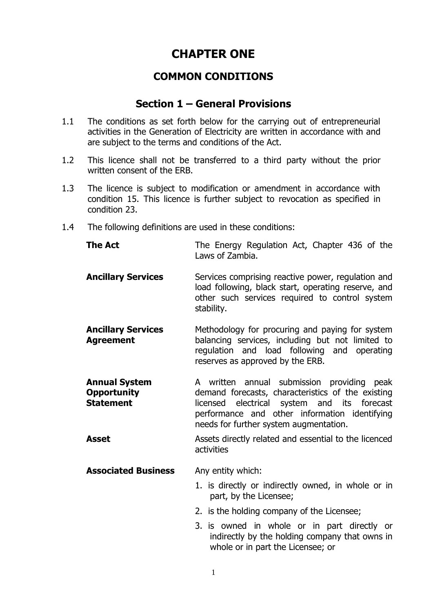# **CHAPTER ONE**

#### **COMMON CONDITIONS**

#### **Section 1 – General Provisions**

- <span id="page-3-2"></span><span id="page-3-1"></span><span id="page-3-0"></span>1.1 The conditions as set forth below for the carrying out of entrepreneurial activities in the Generation of Electricity are written in accordance with and are subject to the terms and conditions of the Act.
- 1.2 This licence shall not be transferred to a third party without the prior written consent of the ERB.
- 1.3 The licence is subject to modification or amendment in accordance with condition 15. This licence is further subject to revocation as specified in condition 23.
- 1.4 The following definitions are used in these conditions:

| <b>The Act</b>                                                 | The Energy Regulation Act, Chapter 436 of the<br>Laws of Zambia.                                                                                                                                                                                |  |  |  |
|----------------------------------------------------------------|-------------------------------------------------------------------------------------------------------------------------------------------------------------------------------------------------------------------------------------------------|--|--|--|
| <b>Ancillary Services</b>                                      | Services comprising reactive power, regulation and<br>load following, black start, operating reserve, and<br>other such services required to control system<br>stability.                                                                       |  |  |  |
| <b>Ancillary Services</b><br><b>Agreement</b>                  | Methodology for procuring and paying for system<br>balancing services, including but not limited to<br>regulation and load following and operating<br>reserves as approved by the ERB.                                                          |  |  |  |
| <b>Annual System</b><br><b>Opportunity</b><br><b>Statement</b> | A written annual submission providing peak<br>demand forecasts, characteristics of the existing<br>electrical<br>system and its forecast<br>licensed<br>performance and other information identifying<br>needs for further system augmentation. |  |  |  |
| <b>Asset</b>                                                   | Assets directly related and essential to the licenced<br>activities                                                                                                                                                                             |  |  |  |
| <b>Associated Business</b>                                     | Any entity which:                                                                                                                                                                                                                               |  |  |  |
|                                                                | 1. is directly or indirectly owned, in whole or in<br>part, by the Licensee;                                                                                                                                                                    |  |  |  |
|                                                                | 2. is the holding company of the Licensee;                                                                                                                                                                                                      |  |  |  |
|                                                                | 3. is owned in whole or in part directly or<br>indirectly by the holding company that owns in<br>whole or in part the Licensee; or                                                                                                              |  |  |  |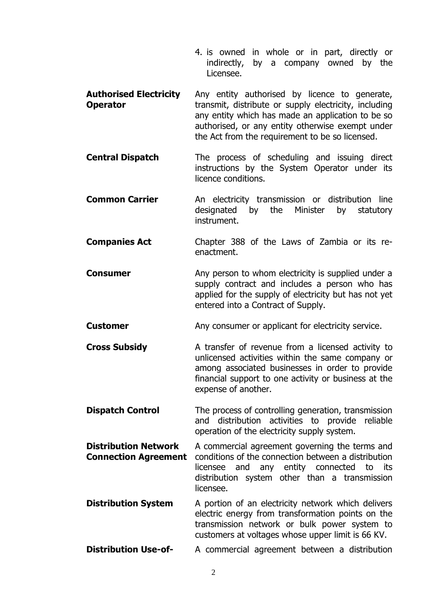- 4. is owned in whole or in part, directly or indirectly, by a company owned by the Licensee.
- **Authorised Electricity Operator**  Any entity authorised by licence to generate, transmit, distribute or supply electricity, including any entity which has made an application to be so authorised, or any entity otherwise exempt under the Act from the requirement to be so licensed.
- **Central Dispatch** The process of scheduling and issuing direct instructions by the System Operator under its licence conditions.
- **Common Carrier** An electricity transmission or distribution line designated by the Minister by statutory instrument.
- **Companies Act Chapter 388 of the Laws of Zambia or its re**enactment.
- **Consumer Example 2** Any person to whom electricity is supplied under a supply contract and includes a person who has applied for the supply of electricity but has not yet entered into a Contract of Supply.
- **Customer Any consumer or applicant for electricity service.**
- **Cross Subsidy** A transfer of revenue from a licensed activity to unlicensed activities within the same company or among associated businesses in order to provide financial support to one activity or business at the expense of another.
- **Dispatch Control** The process of controlling generation, transmission and distribution activities to provide reliable operation of the electricity supply system.

**Distribution Network Connection Agreement**  A commercial agreement governing the terms and conditions of the connection between a distribution licensee and any entity connected to its distribution system other than a transmission licensee.

- **Distribution System** A portion of an electricity network which delivers electric energy from transformation points on the transmission network or bulk power system to customers at voltages whose upper limit is 66 KV.
- **Distribution Use-of-** A commercial agreement between a distribution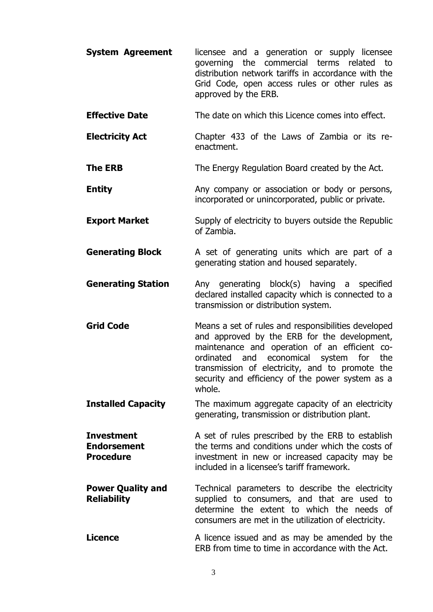- **System Agreement** licensee and a generation or supply licensee governing the commercial terms related to distribution network tariffs in accordance with the Grid Code, open access rules or other rules as approved by the ERB.
- **Effective Date** The date on which this Licence comes into effect.
- **Electricity Act Chapter 433 of the Laws of Zambia or its re**enactment.
- **The ERB** The Energy Regulation Board created by the Act.
- **Entity Any company or association or body or persons,** incorporated or unincorporated, public or private.
- **Export Market** Supply of electricity to buyers outside the Republic of Zambia.
- **Generating Block** A set of generating units which are part of a generating station and housed separately.
- **Generating Station** Any generating block(s) having a specified declared installed capacity which is connected to a transmission or distribution system.
- **Grid Code Means a set of rules and responsibilities developed** and approved by the ERB for the development, maintenance and operation of an efficient coordinated and economical system for the transmission of electricity, and to promote the security and efficiency of the power system as a whole.
- **Installed Capacity** The maximum aggregate capacity of an electricity generating, transmission or distribution plant.
- **Investment Endorsement Procedure**  A set of rules prescribed by the ERB to establish the terms and conditions under which the costs of investment in new or increased capacity may be included in a licensee's tariff framework.
- **Power Quality and Reliability** Technical parameters to describe the electricity supplied to consumers, and that are used to determine the extent to which the needs of consumers are met in the utilization of electricity.
- **Licence A** licence issued and as may be amended by the ERB from time to time in accordance with the Act.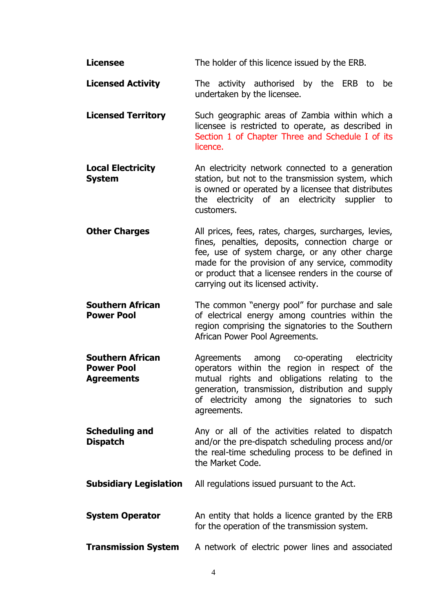| <b>Licensee</b>                                                   | The holder of this licence issued by the ERB.                                                                                                                                                                                                                                                                 |  |  |  |  |
|-------------------------------------------------------------------|---------------------------------------------------------------------------------------------------------------------------------------------------------------------------------------------------------------------------------------------------------------------------------------------------------------|--|--|--|--|
| <b>Licensed Activity</b>                                          | The activity authorised by the ERB to be<br>undertaken by the licensee.                                                                                                                                                                                                                                       |  |  |  |  |
| <b>Licensed Territory</b>                                         | Such geographic areas of Zambia within which a<br>licensee is restricted to operate, as described in<br>Section 1 of Chapter Three and Schedule I of its<br>licence.                                                                                                                                          |  |  |  |  |
| <b>Local Electricity</b><br><b>System</b>                         | An electricity network connected to a generation<br>station, but not to the transmission system, which<br>is owned or operated by a licensee that distributes<br>the electricity of an electricity supplier to<br>customers.                                                                                  |  |  |  |  |
| <b>Other Charges</b>                                              | All prices, fees, rates, charges, surcharges, levies,<br>fines, penalties, deposits, connection charge or<br>fee, use of system charge, or any other charge<br>made for the provision of any service, commodity<br>or product that a licensee renders in the course of<br>carrying out its licensed activity. |  |  |  |  |
| <b>Southern African</b><br><b>Power Pool</b>                      | The common "energy pool" for purchase and sale<br>of electrical energy among countries within the<br>region comprising the signatories to the Southern<br>African Power Pool Agreements.                                                                                                                      |  |  |  |  |
| <b>Southern African</b><br><b>Power Pool</b><br><b>Agreements</b> | among co-operating<br>Agreements<br>electricity<br>operators within the region in respect of the<br>mutual rights and obligations relating to the<br>generation, transmission, distribution and supply<br>of electricity among the signatories to such<br>agreements.                                         |  |  |  |  |
| <b>Scheduling and</b><br><b>Dispatch</b>                          | Any or all of the activities related to dispatch<br>and/or the pre-dispatch scheduling process and/or<br>the real-time scheduling process to be defined in<br>the Market Code.                                                                                                                                |  |  |  |  |
| <b>Subsidiary Legislation</b>                                     | All regulations issued pursuant to the Act.                                                                                                                                                                                                                                                                   |  |  |  |  |
| <b>System Operator</b>                                            | An entity that holds a licence granted by the ERB<br>for the operation of the transmission system.                                                                                                                                                                                                            |  |  |  |  |
| <b>Transmission System</b>                                        | A network of electric power lines and associated                                                                                                                                                                                                                                                              |  |  |  |  |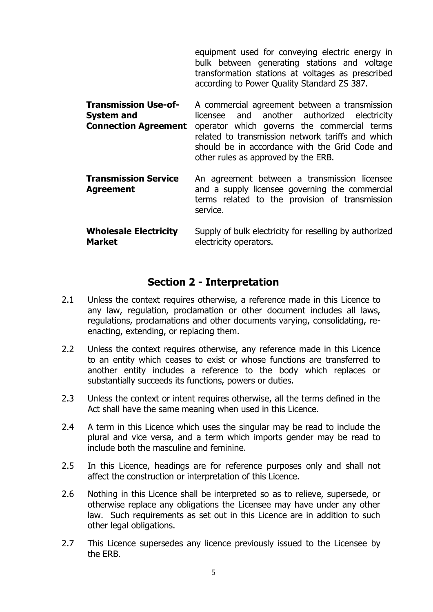equipment used for conveying electric energy in bulk between generating stations and voltage transformation stations at voltages as prescribed according to Power Quality Standard ZS 387.

| <b>Transmission Use-of-</b><br><b>System and</b><br><b>Connection Agreement</b> | A commercial agreement between a transmission<br>licensee and another authorized electricity<br>operator which governs the commercial terms<br>related to transmission network tariffs and which<br>should be in accordance with the Grid Code and<br>other rules as approved by the ERB. |
|---------------------------------------------------------------------------------|-------------------------------------------------------------------------------------------------------------------------------------------------------------------------------------------------------------------------------------------------------------------------------------------|
| <b>Transmission Service</b><br>Agreement                                        | An agreement between a transmission licensee<br>and a supply licensee governing the commercial<br>terms related to the provision of transmission<br>service.                                                                                                                              |
| <b>Wholesale Electricity</b>                                                    | Supply of bulk electricity for reselling by authorized                                                                                                                                                                                                                                    |

**Market**  electricity operators.

#### **Section 2 - Interpretation**

- <span id="page-7-0"></span>2.1 Unless the context requires otherwise, a reference made in this Licence to any law, regulation, proclamation or other document includes all laws, regulations, proclamations and other documents varying, consolidating, reenacting, extending, or replacing them.
- 2.2 Unless the context requires otherwise, any reference made in this Licence to an entity which ceases to exist or whose functions are transferred to another entity includes a reference to the body which replaces or substantially succeeds its functions, powers or duties.
- 2.3 Unless the context or intent requires otherwise, all the terms defined in the Act shall have the same meaning when used in this Licence.
- 2.4 A term in this Licence which uses the singular may be read to include the plural and vice versa, and a term which imports gender may be read to include both the masculine and feminine.
- 2.5 In this Licence, headings are for reference purposes only and shall not affect the construction or interpretation of this Licence.
- 2.6 Nothing in this Licence shall be interpreted so as to relieve, supersede, or otherwise replace any obligations the Licensee may have under any other law. Such requirements as set out in this Licence are in addition to such other legal obligations.
- 2.7 This Licence supersedes any licence previously issued to the Licensee by the ERB.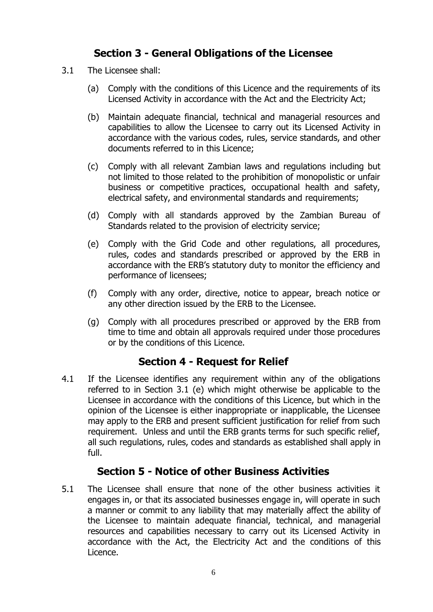# **Section 3 - General Obligations of the Licensee**

- <span id="page-8-0"></span>3.1 The Licensee shall:
	- (a) Comply with the conditions of this Licence and the requirements of its Licensed Activity in accordance with the Act and the Electricity Act;
	- (b) Maintain adequate financial, technical and managerial resources and capabilities to allow the Licensee to carry out its Licensed Activity in accordance with the various codes, rules, service standards, and other documents referred to in this Licence;
	- (c) Comply with all relevant Zambian laws and regulations including but not limited to those related to the prohibition of monopolistic or unfair business or competitive practices, occupational health and safety, electrical safety, and environmental standards and requirements;
	- (d) Comply with all standards approved by the Zambian Bureau of Standards related to the provision of electricity service;
	- (e) Comply with the Grid Code and other regulations, all procedures, rules, codes and standards prescribed or approved by the ERB in accordance with the ERB's statutory duty to monitor the efficiency and performance of licensees;
	- (f) Comply with any order, directive, notice to appear, breach notice or any other direction issued by the ERB to the Licensee.
	- (g) Comply with all procedures prescribed or approved by the ERB from time to time and obtain all approvals required under those procedures or by the conditions of this Licence.

#### **Section 4 - Request for Relief**

<span id="page-8-1"></span>4.1 If the Licensee identifies any requirement within any of the obligations referred to in Section 3.1 (e) which might otherwise be applicable to the Licensee in accordance with the conditions of this Licence, but which in the opinion of the Licensee is either inappropriate or inapplicable, the Licensee may apply to the ERB and present sufficient justification for relief from such requirement. Unless and until the ERB grants terms for such specific relief, all such regulations, rules, codes and standards as established shall apply in full.

# **Section 5 - Notice of other Business Activities**

<span id="page-8-2"></span>5.1 The Licensee shall ensure that none of the other business activities it engages in, or that its associated businesses engage in, will operate in such a manner or commit to any liability that may materially affect the ability of the Licensee to maintain adequate financial, technical, and managerial resources and capabilities necessary to carry out its Licensed Activity in accordance with the Act, the Electricity Act and the conditions of this Licence.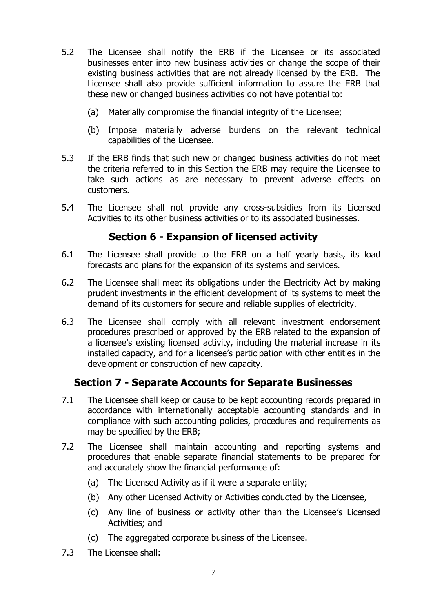- 5.2 The Licensee shall notify the ERB if the Licensee or its associated businesses enter into new business activities or change the scope of their existing business activities that are not already licensed by the ERB. The Licensee shall also provide sufficient information to assure the ERB that these new or changed business activities do not have potential to:
	- (a) Materially compromise the financial integrity of the Licensee;
	- (b) Impose materially adverse burdens on the relevant technical capabilities of the Licensee.
- 5.3 If the ERB finds that such new or changed business activities do not meet the criteria referred to in this Section the ERB may require the Licensee to take such actions as are necessary to prevent adverse effects on customers.
- 5.4 The Licensee shall not provide any cross-subsidies from its Licensed Activities to its other business activities or to its associated businesses.

# **Section 6 - Expansion of licensed activity**

- <span id="page-9-0"></span>6.1 The Licensee shall provide to the ERB on a half yearly basis, its load forecasts and plans for the expansion of its systems and services.
- 6.2 The Licensee shall meet its obligations under the Electricity Act by making prudent investments in the efficient development of its systems to meet the demand of its customers for secure and reliable supplies of electricity.
- 6.3 The Licensee shall comply with all relevant investment endorsement procedures prescribed or approved by the ERB related to the expansion of a licensee's existing licensed activity, including the material increase in its installed capacity, and for a licensee's participation with other entities in the development or construction of new capacity.

# **Section 7 - Separate Accounts for Separate Businesses**

- <span id="page-9-1"></span>7.1 The Licensee shall keep or cause to be kept accounting records prepared in accordance with internationally acceptable accounting standards and in compliance with such accounting policies, procedures and requirements as may be specified by the ERB;
- 7.2 The Licensee shall maintain accounting and reporting systems and procedures that enable separate financial statements to be prepared for and accurately show the financial performance of:
	- (a) The Licensed Activity as if it were a separate entity;
	- (b) Any other Licensed Activity or Activities conducted by the Licensee,
	- (c) Any line of business or activity other than the Licensee's Licensed Activities; and
	- (c) The aggregated corporate business of the Licensee.
- 7.3 The Licensee shall: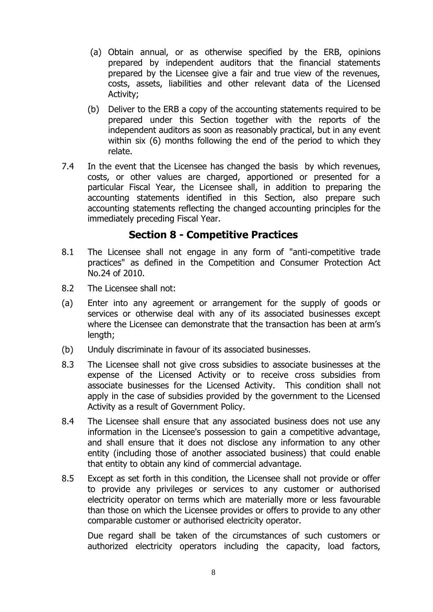- (a) Obtain annual, or as otherwise specified by the ERB, opinions prepared by independent auditors that the financial statements prepared by the Licensee give a fair and true view of the revenues, costs, assets, liabilities and other relevant data of the Licensed Activity;
- (b) Deliver to the ERB a copy of the accounting statements required to be prepared under this Section together with the reports of the independent auditors as soon as reasonably practical, but in any event within six (6) months following the end of the period to which they relate.
- 7.4 In the event that the Licensee has changed the basis by which revenues, costs, or other values are charged, apportioned or presented for a particular Fiscal Year, the Licensee shall, in addition to preparing the accounting statements identified in this Section, also prepare such accounting statements reflecting the changed accounting principles for the immediately preceding Fiscal Year.

#### **Section 8 - Competitive Practices**

- <span id="page-10-0"></span>8.1 The Licensee shall not engage in any form of "anti-competitive trade practices" as defined in the Competition and Consumer Protection Act No.24 of 2010.
- 8.2 The Licensee shall not:
- (a) Enter into any agreement or arrangement for the supply of goods or services or otherwise deal with any of its associated businesses except where the Licensee can demonstrate that the transaction has been at arm's length;
- (b) Unduly discriminate in favour of its associated businesses.
- 8.3 The Licensee shall not give cross subsidies to associate businesses at the expense of the Licensed Activity or to receive cross subsidies from associate businesses for the Licensed Activity. This condition shall not apply in the case of subsidies provided by the government to the Licensed Activity as a result of Government Policy.
- 8.4 The Licensee shall ensure that any associated business does not use any information in the Licensee's possession to gain a competitive advantage, and shall ensure that it does not disclose any information to any other entity (including those of another associated business) that could enable that entity to obtain any kind of commercial advantage.
- 8.5 Except as set forth in this condition, the Licensee shall not provide or offer to provide any privileges or services to any customer or authorised electricity operator on terms which are materially more or less favourable than those on which the Licensee provides or offers to provide to any other comparable customer or authorised electricity operator.

Due regard shall be taken of the circumstances of such customers or authorized electricity operators including the capacity, load factors,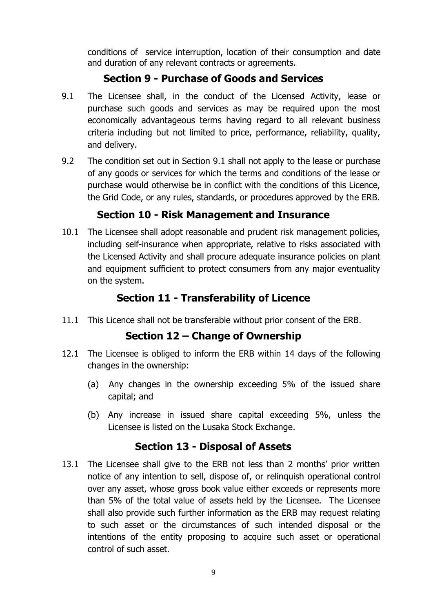conditions of service interruption, location of their consumption and date and duration of any relevant contracts or agreements.

# **Section 9 - Purchase of Goods and Services**

- <span id="page-11-0"></span>9.1 The Licensee shall, in the conduct of the Licensed Activity, lease or purchase such goods and services as may be required upon the most economically advantageous terms having regard to all relevant business criteria including but not limited to price, performance, reliability, quality, and delivery.
- 9.2 The condition set out in Section 9.1 shall not apply to the lease or purchase of any goods or services for which the terms and conditions of the lease or purchase would otherwise be in conflict with the conditions of this Licence, the Grid Code, or any rules, standards, or procedures approved by the ERB.

# **Section 10 - Risk Management and Insurance**

<span id="page-11-1"></span>10.1 The Licensee shall adopt reasonable and prudent risk management policies, including self-insurance when appropriate, relative to risks associated with the Licensed Activity and shall procure adequate insurance policies on plant and equipment sufficient to protect consumers from any major eventuality on the system.

# **Section 11 - Transferability of Licence**

<span id="page-11-3"></span><span id="page-11-2"></span>11.1 This Licence shall not be transferable without prior consent of the ERB.

# **Section 12 – Change of Ownership**

- 12.1 The Licensee is obliged to inform the ERB within 14 days of the following changes in the ownership:
	- (a) Any changes in the ownership exceeding 5% of the issued share capital; and
	- (b) Any increase in issued share capital exceeding 5%, unless the Licensee is listed on the Lusaka Stock Exchange.

# **Section 13 - Disposal of Assets**

<span id="page-11-4"></span>13.1 The Licensee shall give to the ERB not less than 2 months' prior written notice of any intention to sell, dispose of, or relinquish operational control over any asset, whose gross book value either exceeds or represents more than 5% of the total value of assets held by the Licensee. The Licensee shall also provide such further information as the ERB may request relating to such asset or the circumstances of such intended disposal or the intentions of the entity proposing to acquire such asset or operational control of such asset.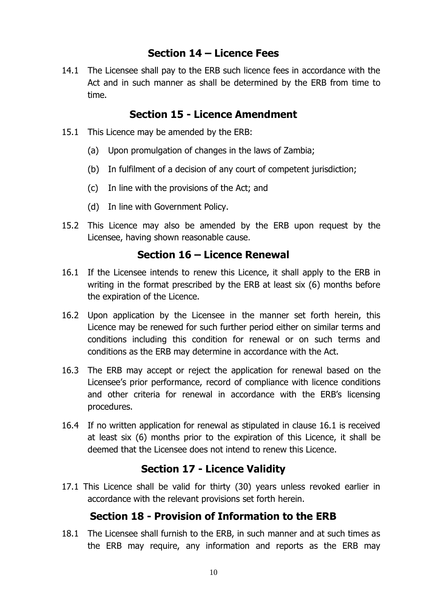#### **Section 14 – Licence Fees**

<span id="page-12-0"></span>14.1 The Licensee shall pay to the ERB such licence fees in accordance with the Act and in such manner as shall be determined by the ERB from time to time.

#### **Section 15 - Licence Amendment**

- <span id="page-12-1"></span>15.1 This Licence may be amended by the ERB:
	- (a) Upon promulgation of changes in the laws of Zambia;
	- (b) In fulfilment of a decision of any court of competent jurisdiction;
	- (c) In line with the provisions of the Act; and
	- (d) In line with Government Policy.
- 15.2 This Licence may also be amended by the ERB upon request by the Licensee, having shown reasonable cause.

#### **Section 16 – Licence Renewal**

- <span id="page-12-2"></span>16.1 If the Licensee intends to renew this Licence, it shall apply to the ERB in writing in the format prescribed by the ERB at least six (6) months before the expiration of the Licence.
- 16.2 Upon application by the Licensee in the manner set forth herein, this Licence may be renewed for such further period either on similar terms and conditions including this condition for renewal or on such terms and conditions as the ERB may determine in accordance with the Act.
- 16.3 The ERB may accept or reject the application for renewal based on the Licensee's prior performance, record of compliance with licence conditions and other criteria for renewal in accordance with the ERB's licensing procedures.
- 16.4 If no written application for renewal as stipulated in clause 16.1 is received at least six (6) months prior to the expiration of this Licence, it shall be deemed that the Licensee does not intend to renew this Licence.

# **Section 17 - Licence Validity**

<span id="page-12-3"></span>17.1 This Licence shall be valid for thirty (30) years unless revoked earlier in accordance with the relevant provisions set forth herein.

# **Section 18 - Provision of Information to the ERB**

<span id="page-12-4"></span>18.1 The Licensee shall furnish to the ERB, in such manner and at such times as the ERB may require, any information and reports as the ERB may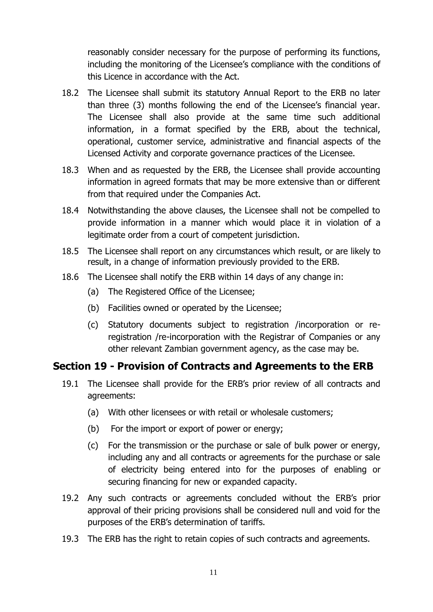reasonably consider necessary for the purpose of performing its functions, including the monitoring of the Licensee's compliance with the conditions of this Licence in accordance with the Act.

- 18.2 The Licensee shall submit its statutory Annual Report to the ERB no later than three (3) months following the end of the Licensee's financial year. The Licensee shall also provide at the same time such additional information, in a format specified by the ERB, about the technical, operational, customer service, administrative and financial aspects of the Licensed Activity and corporate governance practices of the Licensee.
- 18.3 When and as requested by the ERB, the Licensee shall provide accounting information in agreed formats that may be more extensive than or different from that required under the Companies Act.
- 18.4 Notwithstanding the above clauses, the Licensee shall not be compelled to provide information in a manner which would place it in violation of a legitimate order from a court of competent jurisdiction.
- 18.5 The Licensee shall report on any circumstances which result, or are likely to result, in a change of information previously provided to the ERB.
- 18.6 The Licensee shall notify the ERB within 14 days of any change in:
	- (a) The Registered Office of the Licensee;
	- (b) Facilities owned or operated by the Licensee;
	- (c) Statutory documents subject to registration /incorporation or reregistration /re-incorporation with the Registrar of Companies or any other relevant Zambian government agency, as the case may be.

#### <span id="page-13-0"></span>**Section 19 - Provision of Contracts and Agreements to the ERB**

- 19.1 The Licensee shall provide for the ERB's prior review of all contracts and agreements:
	- (a) With other licensees or with retail or wholesale customers;
	- (b) For the import or export of power or energy;
	- (c) For the transmission or the purchase or sale of bulk power or energy, including any and all contracts or agreements for the purchase or sale of electricity being entered into for the purposes of enabling or securing financing for new or expanded capacity.
- 19.2 Any such contracts or agreements concluded without the ERB's prior approval of their pricing provisions shall be considered null and void for the purposes of the ERB's determination of tariffs.
- 19.3 The ERB has the right to retain copies of such contracts and agreements.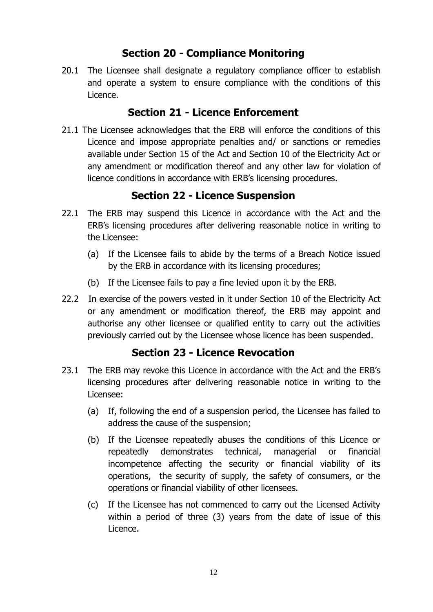#### **Section 20 - Compliance Monitoring**

<span id="page-14-0"></span>20.1 The Licensee shall designate a regulatory compliance officer to establish and operate a system to ensure compliance with the conditions of this Licence.

#### **Section 21 - Licence Enforcement**

<span id="page-14-1"></span>21.1 The Licensee acknowledges that the ERB will enforce the conditions of this Licence and impose appropriate penalties and/ or sanctions or remedies available under Section 15 of the Act and Section 10 of the Electricity Act or any amendment or modification thereof and any other law for violation of licence conditions in accordance with ERB's licensing procedures.

#### **Section 22 - Licence Suspension**

- <span id="page-14-2"></span>22.1 The ERB may suspend this Licence in accordance with the Act and the ERB's licensing procedures after delivering reasonable notice in writing to the Licensee:
	- (a) If the Licensee fails to abide by the terms of a Breach Notice issued by the ERB in accordance with its licensing procedures;
	- (b) If the Licensee fails to pay a fine levied upon it by the ERB.
- 22.2 In exercise of the powers vested in it under Section 10 of the Electricity Act or any amendment or modification thereof, the ERB may appoint and authorise any other licensee or qualified entity to carry out the activities previously carried out by the Licensee whose licence has been suspended.

# **Section 23 - Licence Revocation**

- <span id="page-14-3"></span>23.1 The ERB may revoke this Licence in accordance with the Act and the ERB's licensing procedures after delivering reasonable notice in writing to the Licensee:
	- (a) If, following the end of a suspension period, the Licensee has failed to address the cause of the suspension;
	- (b) If the Licensee repeatedly abuses the conditions of this Licence or repeatedly demonstrates technical, managerial or financial incompetence affecting the security or financial viability of its operations, the security of supply, the safety of consumers, or the operations or financial viability of other licensees.
	- (c) If the Licensee has not commenced to carry out the Licensed Activity within a period of three (3) years from the date of issue of this Licence.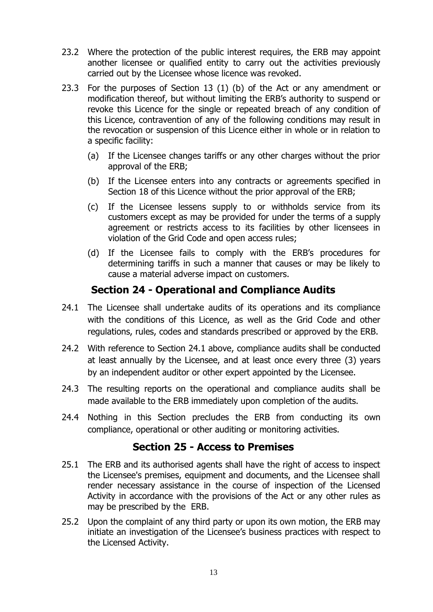- 23.2 Where the protection of the public interest requires, the ERB may appoint another licensee or qualified entity to carry out the activities previously carried out by the Licensee whose licence was revoked.
- 23.3 For the purposes of Section 13 (1) (b) of the Act or any amendment or modification thereof, but without limiting the ERB's authority to suspend or revoke this Licence for the single or repeated breach of any condition of this Licence, contravention of any of the following conditions may result in the revocation or suspension of this Licence either in whole or in relation to a specific facility:
	- (a) If the Licensee changes tariffs or any other charges without the prior approval of the ERB;
	- (b) If the Licensee enters into any contracts or agreements specified in Section 18 of this Licence without the prior approval of the ERB;
	- (c) If the Licensee lessens supply to or withholds service from its customers except as may be provided for under the terms of a supply agreement or restricts access to its facilities by other licensees in violation of the Grid Code and open access rules;
	- (d) If the Licensee fails to comply with the ERB's procedures for determining tariffs in such a manner that causes or may be likely to cause a material adverse impact on customers.

#### **Section 24 - Operational and Compliance Audits**

- <span id="page-15-0"></span>24.1 The Licensee shall undertake audits of its operations and its compliance with the conditions of this Licence, as well as the Grid Code and other regulations, rules, codes and standards prescribed or approved by the ERB.
- 24.2 With reference to Section 24.1 above, compliance audits shall be conducted at least annually by the Licensee, and at least once every three (3) years by an independent auditor or other expert appointed by the Licensee.
- 24.3 The resulting reports on the operational and compliance audits shall be made available to the ERB immediately upon completion of the audits.
- 24.4 Nothing in this Section precludes the ERB from conducting its own compliance, operational or other auditing or monitoring activities.

#### **Section 25 - Access to Premises**

- <span id="page-15-1"></span>25.1 The ERB and its authorised agents shall have the right of access to inspect the Licensee's premises, equipment and documents, and the Licensee shall render necessary assistance in the course of inspection of the Licensed Activity in accordance with the provisions of the Act or any other rules as may be prescribed by the ERB.
- 25.2 Upon the complaint of any third party or upon its own motion, the ERB may initiate an investigation of the Licensee's business practices with respect to the Licensed Activity.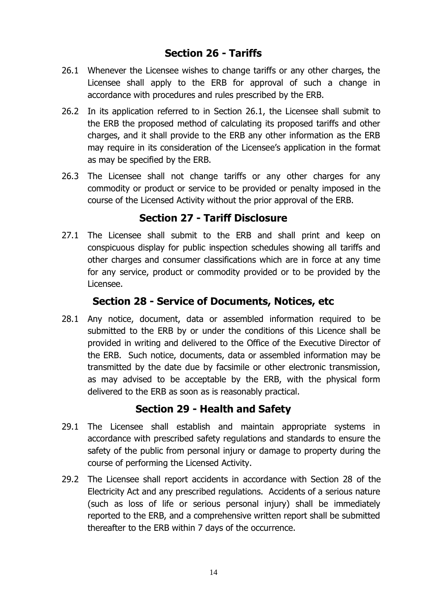# **Section 26 - Tariffs**

- <span id="page-16-0"></span>26.1 Whenever the Licensee wishes to change tariffs or any other charges, the Licensee shall apply to the ERB for approval of such a change in accordance with procedures and rules prescribed by the ERB.
- 26.2 In its application referred to in Section 26.1, the Licensee shall submit to the ERB the proposed method of calculating its proposed tariffs and other charges, and it shall provide to the ERB any other information as the ERB may require in its consideration of the Licensee's application in the format as may be specified by the ERB.
- 26.3 The Licensee shall not change tariffs or any other charges for any commodity or product or service to be provided or penalty imposed in the course of the Licensed Activity without the prior approval of the ERB.

#### **Section 27 - Tariff Disclosure**

<span id="page-16-1"></span>27.1 The Licensee shall submit to the ERB and shall print and keep on conspicuous display for public inspection schedules showing all tariffs and other charges and consumer classifications which are in force at any time for any service, product or commodity provided or to be provided by the Licensee.

#### **Section 28 - Service of Documents, Notices, etc**

<span id="page-16-2"></span>28.1 Any notice, document, data or assembled information required to be submitted to the ERB by or under the conditions of this Licence shall be provided in writing and delivered to the Office of the Executive Director of the ERB. Such notice, documents, data or assembled information may be transmitted by the date due by facsimile or other electronic transmission, as may advised to be acceptable by the ERB, with the physical form delivered to the ERB as soon as is reasonably practical.

# **Section 29 - Health and Safety**

- <span id="page-16-3"></span>29.1 The Licensee shall establish and maintain appropriate systems in accordance with prescribed safety regulations and standards to ensure the safety of the public from personal injury or damage to property during the course of performing the Licensed Activity.
- 29.2 The Licensee shall report accidents in accordance with Section 28 of the Electricity Act and any prescribed regulations. Accidents of a serious nature (such as loss of life or serious personal injury) shall be immediately reported to the ERB, and a comprehensive written report shall be submitted thereafter to the ERB within 7 days of the occurrence.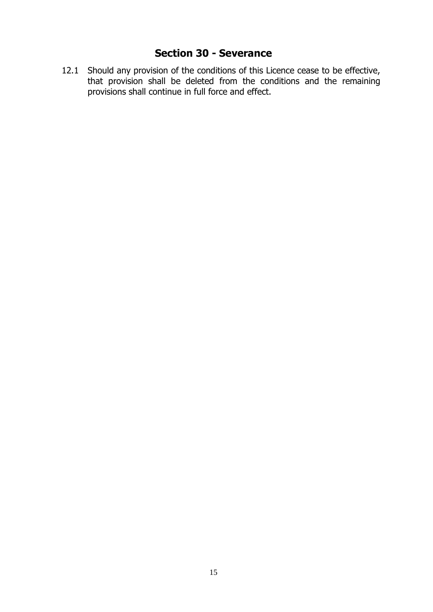#### **Section 30 - Severance**

<span id="page-17-0"></span>12.1 Should any provision of the conditions of this Licence cease to be effective, that provision shall be deleted from the conditions and the remaining provisions shall continue in full force and effect.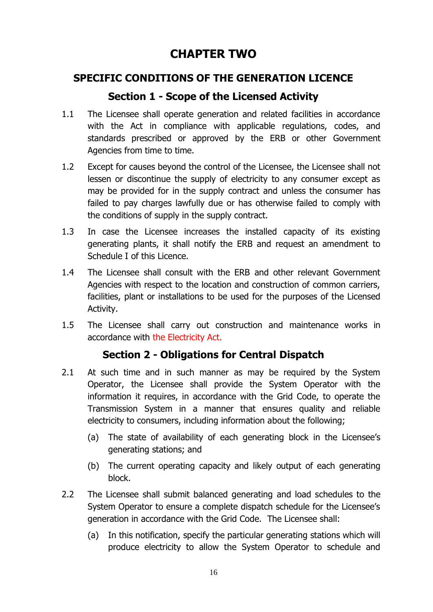# **CHAPTER TWO**

# <span id="page-18-1"></span><span id="page-18-0"></span>**SPECIFIC CONDITIONS OF THE GENERATION LICENCE**

# **Section 1 - Scope of the Licensed Activity**

- <span id="page-18-2"></span>1.1 The Licensee shall operate generation and related facilities in accordance with the Act in compliance with applicable regulations, codes, and standards prescribed or approved by the ERB or other Government Agencies from time to time.
- 1.2 Except for causes beyond the control of the Licensee, the Licensee shall not lessen or discontinue the supply of electricity to any consumer except as may be provided for in the supply contract and unless the consumer has failed to pay charges lawfully due or has otherwise failed to comply with the conditions of supply in the supply contract.
- 1.3 In case the Licensee increases the installed capacity of its existing generating plants, it shall notify the ERB and request an amendment to Schedule I of this Licence.
- 1.4 The Licensee shall consult with the ERB and other relevant Government Agencies with respect to the location and construction of common carriers, facilities, plant or installations to be used for the purposes of the Licensed Activity.
- 1.5 The Licensee shall carry out construction and maintenance works in accordance with the Electricity Act.

# **Section 2 - Obligations for Central Dispatch**

- <span id="page-18-3"></span>2.1 At such time and in such manner as may be required by the System Operator, the Licensee shall provide the System Operator with the information it requires, in accordance with the Grid Code, to operate the Transmission System in a manner that ensures quality and reliable electricity to consumers, including information about the following;
	- (a) The state of availability of each generating block in the Licensee's generating stations; and
	- (b) The current operating capacity and likely output of each generating block.
- 2.2 The Licensee shall submit balanced generating and load schedules to the System Operator to ensure a complete dispatch schedule for the Licensee's generation in accordance with the Grid Code. The Licensee shall:
	- (a) In this notification, specify the particular generating stations which will produce electricity to allow the System Operator to schedule and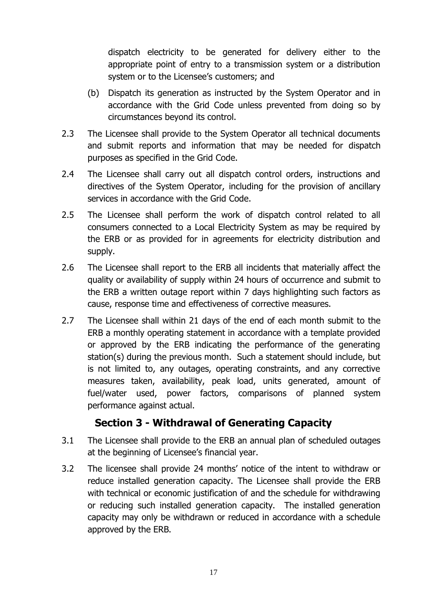dispatch electricity to be generated for delivery either to the appropriate point of entry to a transmission system or a distribution system or to the Licensee's customers; and

- (b) Dispatch its generation as instructed by the System Operator and in accordance with the Grid Code unless prevented from doing so by circumstances beyond its control.
- 2.3 The Licensee shall provide to the System Operator all technical documents and submit reports and information that may be needed for dispatch purposes as specified in the Grid Code.
- 2.4 The Licensee shall carry out all dispatch control orders, instructions and directives of the System Operator, including for the provision of ancillary services in accordance with the Grid Code.
- 2.5 The Licensee shall perform the work of dispatch control related to all consumers connected to a Local Electricity System as may be required by the ERB or as provided for in agreements for electricity distribution and supply.
- 2.6 The Licensee shall report to the ERB all incidents that materially affect the quality or availability of supply within 24 hours of occurrence and submit to the ERB a written outage report within 7 days highlighting such factors as cause, response time and effectiveness of corrective measures.
- 2.7 The Licensee shall within 21 days of the end of each month submit to the ERB a monthly operating statement in accordance with a template provided or approved by the ERB indicating the performance of the generating station(s) during the previous month. Such a statement should include, but is not limited to, any outages, operating constraints, and any corrective measures taken, availability, peak load, units generated, amount of fuel/water used, power factors, comparisons of planned system performance against actual.

# **Section 3 - Withdrawal of Generating Capacity**

- <span id="page-19-0"></span>3.1 The Licensee shall provide to the ERB an annual plan of scheduled outages at the beginning of Licensee's financial year.
- 3.2 The licensee shall provide 24 months' notice of the intent to withdraw or reduce installed generation capacity. The Licensee shall provide the ERB with technical or economic justification of and the schedule for withdrawing or reducing such installed generation capacity. The installed generation capacity may only be withdrawn or reduced in accordance with a schedule approved by the ERB.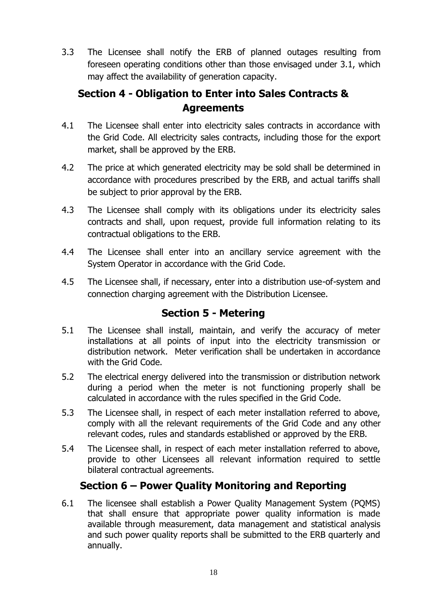3.3 The Licensee shall notify the ERB of planned outages resulting from foreseen operating conditions other than those envisaged under 3.1, which may affect the availability of generation capacity.

# <span id="page-20-0"></span>**Section 4 - Obligation to Enter into Sales Contracts & Agreements**

- 4.1 The Licensee shall enter into electricity sales contracts in accordance with the Grid Code. All electricity sales contracts, including those for the export market, shall be approved by the ERB.
- 4.2 The price at which generated electricity may be sold shall be determined in accordance with procedures prescribed by the ERB, and actual tariffs shall be subject to prior approval by the ERB.
- 4.3 The Licensee shall comply with its obligations under its electricity sales contracts and shall, upon request, provide full information relating to its contractual obligations to the ERB.
- 4.4 The Licensee shall enter into an ancillary service agreement with the System Operator in accordance with the Grid Code.
- 4.5 The Licensee shall, if necessary, enter into a distribution use-of-system and connection charging agreement with the Distribution Licensee.

# **Section 5 - Metering**

- <span id="page-20-1"></span>5.1 The Licensee shall install, maintain, and verify the accuracy of meter installations at all points of input into the electricity transmission or distribution network. Meter verification shall be undertaken in accordance with the Grid Code.
- 5.2 The electrical energy delivered into the transmission or distribution network during a period when the meter is not functioning properly shall be calculated in accordance with the rules specified in the Grid Code.
- 5.3 The Licensee shall, in respect of each meter installation referred to above, comply with all the relevant requirements of the Grid Code and any other relevant codes, rules and standards established or approved by the ERB.
- 5.4 The Licensee shall, in respect of each meter installation referred to above, provide to other Licensees all relevant information required to settle bilateral contractual agreements.

# **Section 6 – Power Quality Monitoring and Reporting**

<span id="page-20-2"></span>6.1 The licensee shall establish a Power Quality Management System (PQMS) that shall ensure that appropriate power quality information is made available through measurement, data management and statistical analysis and such power quality reports shall be submitted to the ERB quarterly and annually.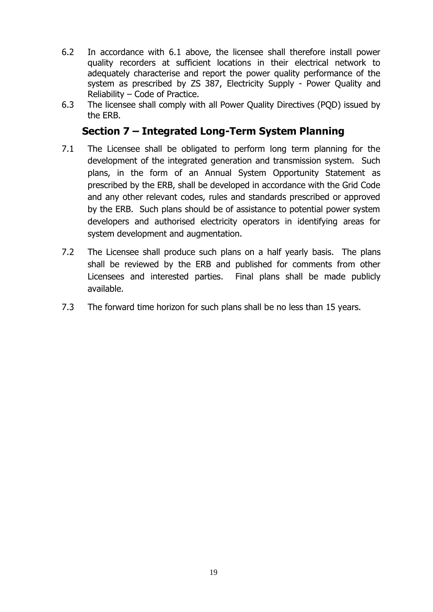- 6.2 In accordance with 6.1 above, the licensee shall therefore install power quality recorders at sufficient locations in their electrical network to adequately characterise and report the power quality performance of the system as prescribed by ZS 387, Electricity Supply - Power Quality and Reliability – Code of Practice.
- <span id="page-21-0"></span>6.3 The licensee shall comply with all Power Quality Directives (PQD) issued by the ERB.

#### **Section 7 – Integrated Long-Term System Planning**

- 7.1 The Licensee shall be obligated to perform long term planning for the development of the integrated generation and transmission system. Such plans, in the form of an Annual System Opportunity Statement as prescribed by the ERB, shall be developed in accordance with the Grid Code and any other relevant codes, rules and standards prescribed or approved by the ERB. Such plans should be of assistance to potential power system developers and authorised electricity operators in identifying areas for system development and augmentation.
- 7.2 The Licensee shall produce such plans on a half yearly basis. The plans shall be reviewed by the ERB and published for comments from other Licensees and interested parties. Final plans shall be made publicly available.
- 7.3 The forward time horizon for such plans shall be no less than 15 years.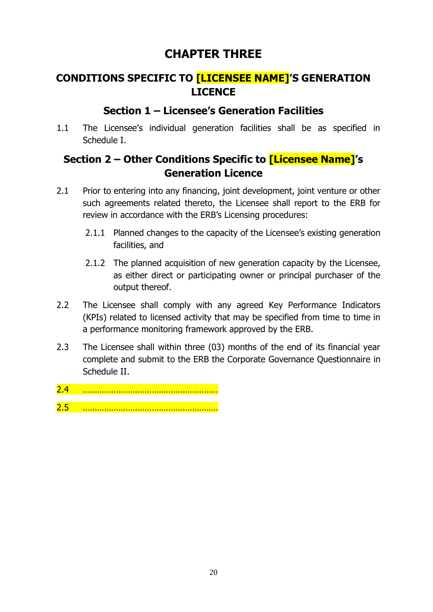# **CHAPTER THREE**

# <span id="page-22-1"></span><span id="page-22-0"></span>**CONDITIONS SPECIFIC TO [LICENSEE NAME]'S GENERATION LICENCE**

#### **Section 1 – Licensee's Generation Facilities**

<span id="page-22-2"></span>1.1 The Licensee's individual generation facilities shall be as specified in Schedule I.

# <span id="page-22-3"></span>**Section 2 – Other Conditions Specific to [Licensee Name]'s Generation Licence**

- 2.1 Prior to entering into any financing, joint development, joint venture or other such agreements related thereto, the Licensee shall report to the ERB for review in accordance with the ERB's Licensing procedures:
	- 2.1.1 Planned changes to the capacity of the Licensee's existing generation facilities, and
	- 2.1.2 The planned acquisition of new generation capacity by the Licensee, as either direct or participating owner or principal purchaser of the output thereof.
- 2.2 The Licensee shall comply with any agreed Key Performance Indicators (KPIs) related to licensed activity that may be specified from time to time in a performance monitoring framework approved by the ERB.
- 2.3 The Licensee shall within three (03) months of the end of its financial year complete and submit to the ERB the Corporate Governance Questionnaire in Schedule II.
- 2.4 …………………………………………………
- 2.5 …………………………………………………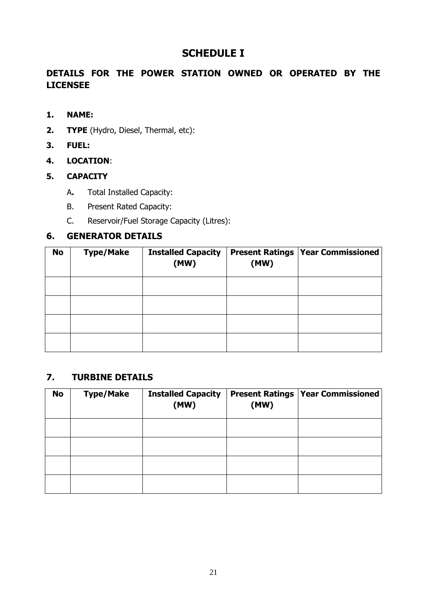# **SCHEDULE I**

#### <span id="page-23-0"></span>**DETAILS FOR THE POWER STATION OWNED OR OPERATED BY THE LICENSEE**

- **1. NAME:**
- **2. TYPE** (Hydro, Diesel, Thermal, etc):
- **3. FUEL:**
- **4. LOCATION**:
- **5. CAPACITY**
	- A**.** Total Installed Capacity:
	- B. Present Rated Capacity:
	- C. Reservoir/Fuel Storage Capacity (Litres):

#### **6. GENERATOR DETAILS**

| <b>No</b> | <b>Type/Make</b> | <b>Installed Capacity</b><br>(MW) | (MW) | <b>Present Ratings   Year Commissioned</b> |
|-----------|------------------|-----------------------------------|------|--------------------------------------------|
|           |                  |                                   |      |                                            |
|           |                  |                                   |      |                                            |
|           |                  |                                   |      |                                            |
|           |                  |                                   |      |                                            |

#### **7. TURBINE DETAILS**

| <b>No</b> | <b>Type/Make</b> | <b>Installed Capacity</b><br>(MW) | (MW) | <b>Present Ratings   Year Commissioned</b> |
|-----------|------------------|-----------------------------------|------|--------------------------------------------|
|           |                  |                                   |      |                                            |
|           |                  |                                   |      |                                            |
|           |                  |                                   |      |                                            |
|           |                  |                                   |      |                                            |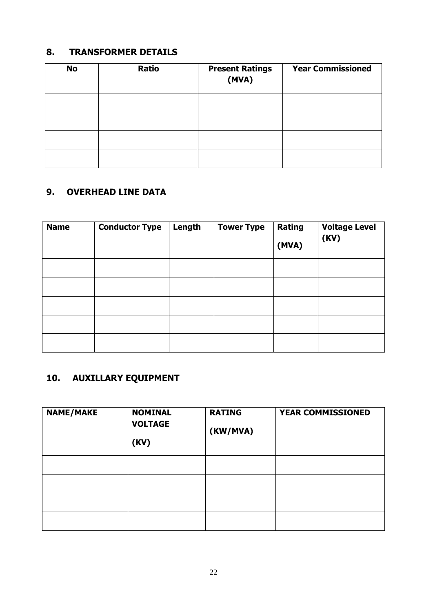#### **8. TRANSFORMER DETAILS**

| <b>No</b> | <b>Ratio</b> | <b>Present Ratings</b><br>(MVA) | <b>Year Commissioned</b> |
|-----------|--------------|---------------------------------|--------------------------|
|           |              |                                 |                          |
|           |              |                                 |                          |
|           |              |                                 |                          |
|           |              |                                 |                          |

#### **9. OVERHEAD LINE DATA**

| <b>Name</b> | <b>Conductor Type</b> | Length | <b>Tower Type</b> | Rating<br>(MVA) | <b>Voltage Level</b><br>(KV) |
|-------------|-----------------------|--------|-------------------|-----------------|------------------------------|
|             |                       |        |                   |                 |                              |
|             |                       |        |                   |                 |                              |
|             |                       |        |                   |                 |                              |
|             |                       |        |                   |                 |                              |
|             |                       |        |                   |                 |                              |

#### **10. AUXILLARY EQUIPMENT**

| <b>NAME/MAKE</b> | <b>NOMINAL</b><br><b>VOLTAGE</b><br>(KV) | <b>RATING</b><br>(KW/MVA) | <b>YEAR COMMISSIONED</b> |
|------------------|------------------------------------------|---------------------------|--------------------------|
|                  |                                          |                           |                          |
|                  |                                          |                           |                          |
|                  |                                          |                           |                          |
|                  |                                          |                           |                          |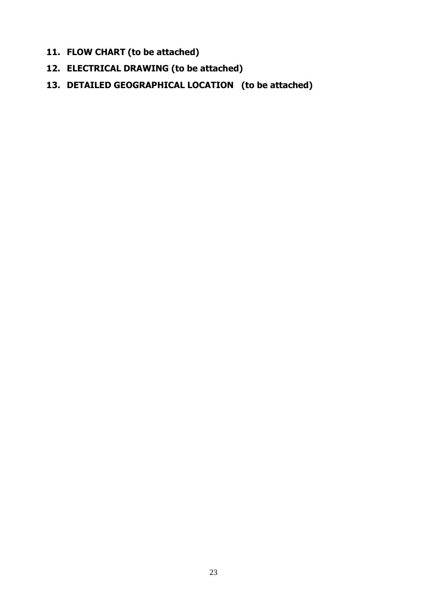- **11. FLOW CHART (to be attached)**
- **12. ELECTRICAL DRAWING (to be attached)**
- **13. DETAILED GEOGRAPHICAL LOCATION (to be attached)**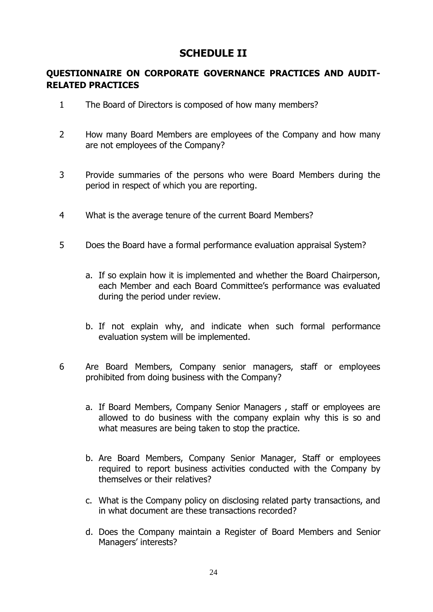# **SCHEDULE II**

#### <span id="page-26-0"></span>**QUESTIONNAIRE ON CORPORATE GOVERNANCE PRACTICES AND AUDIT-RELATED PRACTICES**

- 1 The Board of Directors is composed of how many members?
- 2 How many Board Members are employees of the Company and how many are not employees of the Company?
- 3 Provide summaries of the persons who were Board Members during the period in respect of which you are reporting.
- 4 What is the average tenure of the current Board Members?
- 5 Does the Board have a formal performance evaluation appraisal System?
	- a. If so explain how it is implemented and whether the Board Chairperson, each Member and each Board Committee's performance was evaluated during the period under review.
	- b. If not explain why, and indicate when such formal performance evaluation system will be implemented.
- 6 Are Board Members, Company senior managers, staff or employees prohibited from doing business with the Company?
	- a. If Board Members, Company Senior Managers , staff or employees are allowed to do business with the company explain why this is so and what measures are being taken to stop the practice.
	- b. Are Board Members, Company Senior Manager, Staff or employees required to report business activities conducted with the Company by themselves or their relatives?
	- c. What is the Company policy on disclosing related party transactions, and in what document are these transactions recorded?
	- d. Does the Company maintain a Register of Board Members and Senior Managers' interests?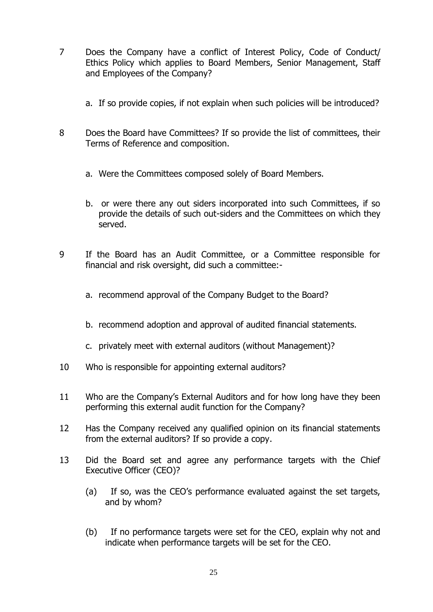- 7 Does the Company have a conflict of Interest Policy, Code of Conduct/ Ethics Policy which applies to Board Members, Senior Management, Staff and Employees of the Company?
	- a. If so provide copies, if not explain when such policies will be introduced?
- 8 Does the Board have Committees? If so provide the list of committees, their Terms of Reference and composition.
	- a. Were the Committees composed solely of Board Members.
	- b. or were there any out siders incorporated into such Committees, if so provide the details of such out-siders and the Committees on which they served.
- 9 If the Board has an Audit Committee, or a Committee responsible for financial and risk oversight, did such a committee:
	- a. recommend approval of the Company Budget to the Board?
	- b. recommend adoption and approval of audited financial statements.
	- c. privately meet with external auditors (without Management)?
- 10 Who is responsible for appointing external auditors?
- 11 Who are the Company's External Auditors and for how long have they been performing this external audit function for the Company?
- 12 Has the Company received any qualified opinion on its financial statements from the external auditors? If so provide a copy.
- 13 Did the Board set and agree any performance targets with the Chief Executive Officer (CEO)?
	- (a) If so, was the CEO's performance evaluated against the set targets, and by whom?
	- (b) If no performance targets were set for the CEO, explain why not and indicate when performance targets will be set for the CEO.